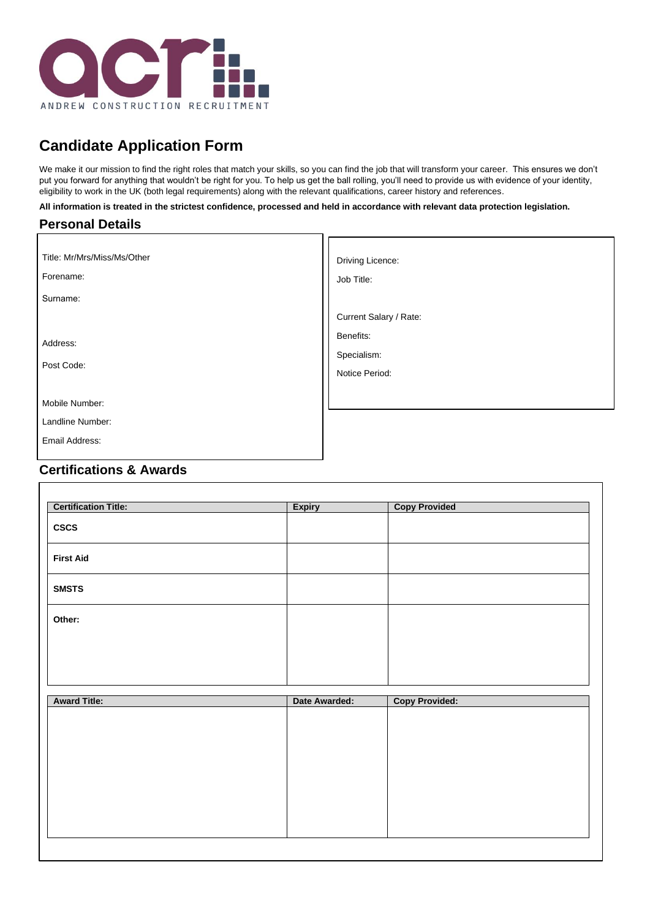

# **Candidate Application Form**

We make it our mission to find the right roles that match your skills, so you can find the job that will transform your career. This ensures we don't put you forward for anything that wouldn't be right for you. To help us get the ball rolling, you'll need to provide us with evidence of your identity, eligibility to work in the UK (both legal requirements) along with the relevant qualifications, career history and references.

٦r

**All information is treated in the strictest confidence, processed and held in accordance with relevant data protection legislation.**

#### **Personal Details**

| Title: Mr/Mrs/Miss/Ms/Other<br>Forename:             | Driving Licence:<br>Job Title:             |
|------------------------------------------------------|--------------------------------------------|
| Surname:                                             | Current Salary / Rate:                     |
| Address:<br>Post Code:                               | Benefits:<br>Specialism:<br>Notice Period: |
| Mobile Number:<br>Landline Number:<br>Email Address: |                                            |

## **Certifications & Awards**

| <b>Certification Title:</b> | <b>Expiry</b> | <b>Copy Provided</b>  |  |
|-----------------------------|---------------|-----------------------|--|
| <b>CSCS</b>                 |               |                       |  |
| <b>First Aid</b>            |               |                       |  |
| <b>SMSTS</b>                |               |                       |  |
| Other:                      |               |                       |  |
|                             |               |                       |  |
|                             |               |                       |  |
| <b>Award Title:</b>         | Date Awarded: | <b>Copy Provided:</b> |  |

| <b>Award Title:</b> | Date Awarded: | <b>Copy Provided:</b> |
|---------------------|---------------|-----------------------|
|                     |               |                       |
|                     |               |                       |
|                     |               |                       |
|                     |               |                       |
|                     |               |                       |
|                     |               |                       |
|                     |               |                       |
|                     |               |                       |
|                     |               |                       |
|                     |               |                       |
|                     |               |                       |
|                     |               |                       |
|                     |               |                       |
|                     |               |                       |
|                     |               |                       |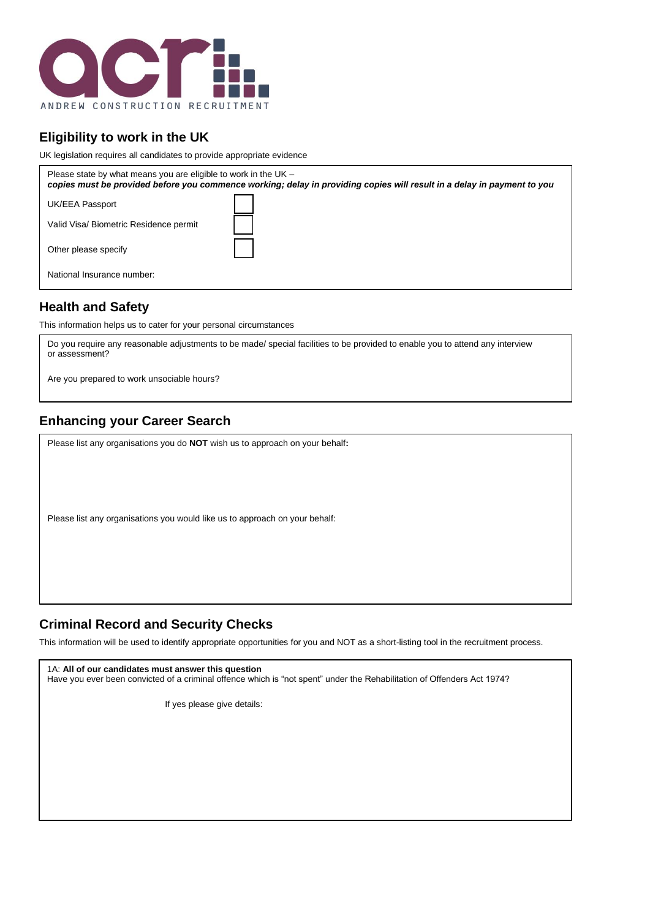

# **Eligibility to work in the UK**

UK legislation requires all candidates to provide appropriate evidence

| Please state by what means you are eligible to work in the UK - | copies must be provided before you commence working; delay in providing copies will result in a delay in payment to you |
|-----------------------------------------------------------------|-------------------------------------------------------------------------------------------------------------------------|
| UK/EEA Passport                                                 |                                                                                                                         |
| Valid Visa/ Biometric Residence permit                          |                                                                                                                         |
| Other please specify                                            |                                                                                                                         |
| National Insurance number:                                      |                                                                                                                         |

#### **Health and Safety**

This information helps us to cater for your personal circumstances

Do you require any reasonable adjustments to be made/ special facilities to be provided to enable you to attend any interview or assessment?

Are you prepared to work unsociable hours?

# **Enhancing your Career Search**

Please list any organisations you do **NOT** wish us to approach on your behalf**:**

Please list any organisations you would like us to approach on your behalf:

#### **Criminal Record and Security Checks**

This information will be used to identify appropriate opportunities for you and NOT as a short-listing tool in the recruitment process.

1A: **All of our candidates must answer this question**

Have you ever been convicted of a criminal offence which is "not spent" under the Rehabilitation of Offenders Act 1974?

If yes please give details: